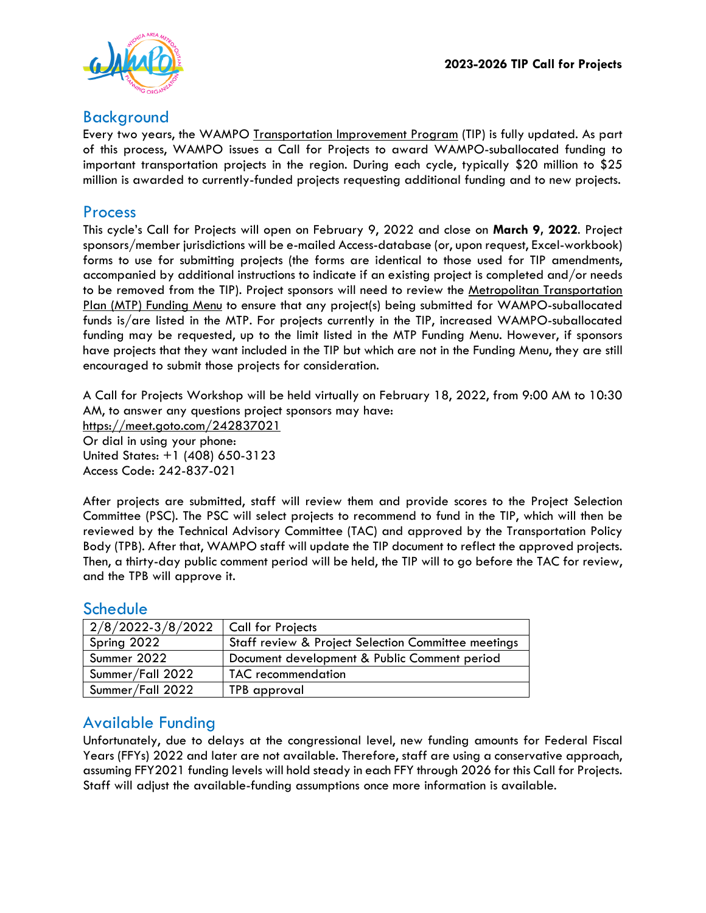

#### Background

Every two years, the WAMPO [Transportation Improvement Program](https://www.wampo.org/transportation-improvement-program) (TIP) is fully updated. As part of this process, WAMPO issues a Call for Projects to award WAMPO-suballocated funding to important transportation projects in the region. During each cycle, typically \$20 million to \$25 million is awarded to currently-funded projects requesting additional funding and to new projects.

#### Process

This cycle's Call for Projects will open on February 9, 2022 and close on **March 9, 2022**. Project sponsors/member jurisdictions will be e-mailed Access-database (or, upon request, Excel-workbook) forms to use for submitting projects (the forms are identical to those used for TIP amendments, accompanied by additional instructions to indicate if an existing project is completed and/or needs to be removed from the TIP). Project sponsors will need to review the Metropolitan Transportation Plan (MTP) [Funding Menu](https://www.wampo.org/_files/ugd/bbf89d_0b6d47ab4eef400cb4e389277fdf3d25.pdf) to ensure that any project(s) being submitted for WAMPO-suballocated funds is/are listed in the MTP. For projects currently in the TIP, increased WAMPO-suballocated funding may be requested, up to the limit listed in the MTP Funding Menu. However, if sponsors have projects that they want included in the TIP but which are not in the Funding Menu, they are still encouraged to submit those projects for consideration.

A Call for Projects Workshop will be held virtually on February 18, 2022, from 9:00 AM to 10:30 AM, to answer any questions project sponsors may have:

<https://meet.goto.com/242837021>

Or dial in using your phone: United States: +1 (408) 650-3123 Access Code: 242-837-021

After projects are submitted, staff will review them and provide scores to the Project Selection Committee (PSC). The PSC will select projects to recommend to fund in the TIP, which will then be reviewed by the Technical Advisory Committee (TAC) and approved by the Transportation Policy Body (TPB). After that, WAMPO staff will update the TIP document to reflect the approved projects. Then, a thirty-day public comment period will be held, the TIP will to go before the TAC for review, and the TPB will approve it.

#### **Schedule**

| $2/8/2022 - 3/8/2022$ Call for Projects |                                                     |
|-----------------------------------------|-----------------------------------------------------|
| Spring 2022                             | Staff review & Project Selection Committee meetings |
| Summer 2022                             | Document development & Public Comment period        |
| Summer/Fall 2022                        | <b>TAC</b> recommendation                           |
| Summer/Fall 2022                        | TPB approval                                        |

## Available Funding

Unfortunately, due to delays at the congressional level, new funding amounts for Federal Fiscal Years (FFYs) 2022 and later are not available. Therefore, staff are using a conservative approach, assuming FFY2021 funding levels will hold steady in each FFY through 2026 for this Call for Projects. Staff will adjust the available-funding assumptions once more information is available.